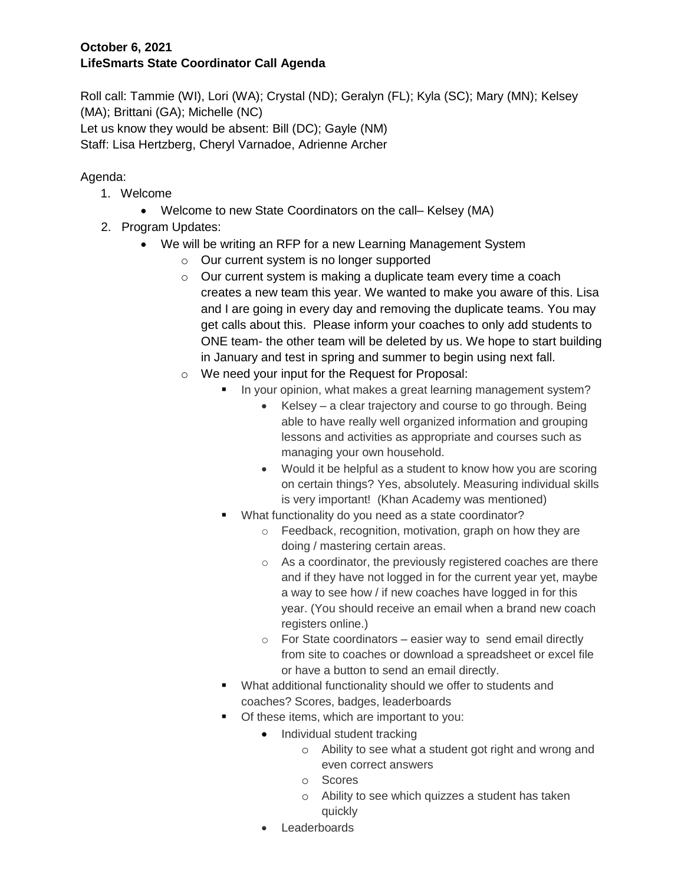## **October 6, 2021 LifeSmarts State Coordinator Call Agenda**

Roll call: Tammie (WI), Lori (WA); Crystal (ND); Geralyn (FL); Kyla (SC); Mary (MN); Kelsey (MA); Brittani (GA); Michelle (NC) Let us know they would be absent: Bill (DC); Gayle (NM) Staff: Lisa Hertzberg, Cheryl Varnadoe, Adrienne Archer

# Agenda:

- 1. Welcome
	- Welcome to new State Coordinators on the call– Kelsey (MA)
- 2. Program Updates:
	- We will be writing an RFP for a new Learning Management System
		- o Our current system is no longer supported
		- o Our current system is making a duplicate team every time a coach creates a new team this year. We wanted to make you aware of this. Lisa and I are going in every day and removing the duplicate teams. You may get calls about this. Please inform your coaches to only add students to ONE team- the other team will be deleted by us. We hope to start building in January and test in spring and summer to begin using next fall.
		- o We need your input for the Request for Proposal:
			- In your opinion, what makes a great learning management system?
				- Kelsey a clear trajectory and course to go through. Being able to have really well organized information and grouping lessons and activities as appropriate and courses such as managing your own household.
				- Would it be helpful as a student to know how you are scoring on certain things? Yes, absolutely. Measuring individual skills is very important! (Khan Academy was mentioned)
			- What functionality do you need as a state coordinator?
				- o Feedback, recognition, motivation, graph on how they are doing / mastering certain areas.
				- o As a coordinator, the previously registered coaches are there and if they have not logged in for the current year yet, maybe a way to see how / if new coaches have logged in for this year. (You should receive an email when a brand new coach registers online.)
				- $\circ$  For State coordinators easier way to send email directly from site to coaches or download a spreadsheet or excel file or have a button to send an email directly.
			- What additional functionality should we offer to students and coaches? Scores, badges, leaderboards
			- **•** Of these items, which are important to you:
				- Individual student tracking
					- o Ability to see what a student got right and wrong and even correct answers
					- o Scores
					- o Ability to see which quizzes a student has taken quickly
				- Leaderboards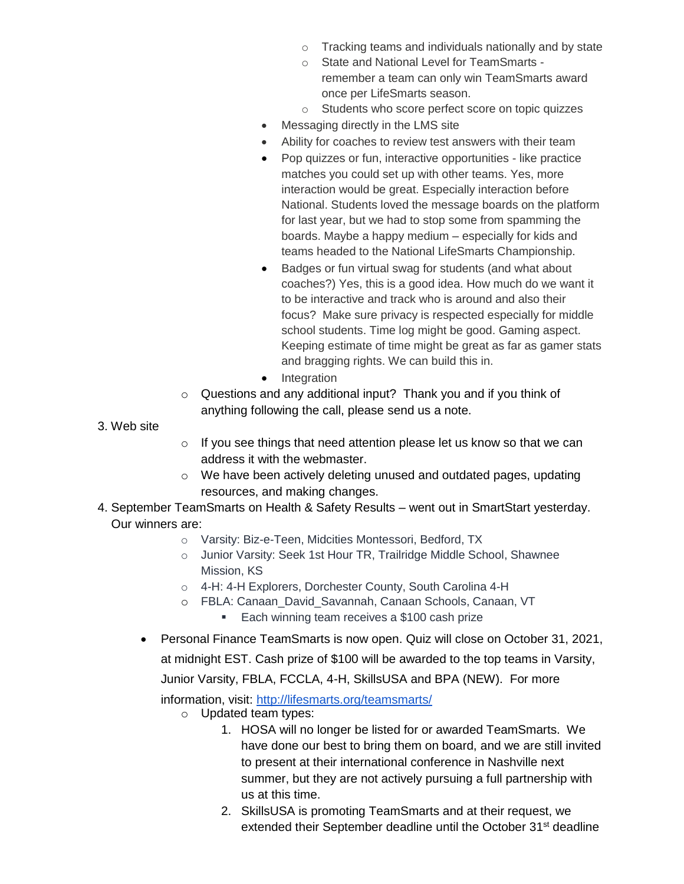- o Tracking teams and individuals nationally and by state
- o State and National Level for TeamSmarts remember a team can only win TeamSmarts award once per LifeSmarts season.
- o Students who score perfect score on topic quizzes
- Messaging directly in the LMS site
- Ability for coaches to review test answers with their team
- Pop quizzes or fun, interactive opportunities like practice matches you could set up with other teams. Yes, more interaction would be great. Especially interaction before National. Students loved the message boards on the platform for last year, but we had to stop some from spamming the boards. Maybe a happy medium – especially for kids and teams headed to the National LifeSmarts Championship.
- Badges or fun virtual swag for students (and what about coaches?) Yes, this is a good idea. How much do we want it to be interactive and track who is around and also their focus? Make sure privacy is respected especially for middle school students. Time log might be good. Gaming aspect. Keeping estimate of time might be great as far as gamer stats and bragging rights. We can build this in.
- Integration
- o Questions and any additional input? Thank you and if you think of anything following the call, please send us a note.
- 3. Web site
- o If you see things that need attention please let us know so that we can address it with the webmaster.
- o We have been actively deleting unused and outdated pages, updating resources, and making changes.
- 4. September TeamSmarts on Health & Safety Results went out in SmartStart yesterday. Our winners are:
	- o Varsity: Biz-e-Teen, Midcities Montessori, Bedford, TX
	- o Junior Varsity: Seek 1st Hour TR, Trailridge Middle School, Shawnee Mission, KS
	- o 4-H: 4-H Explorers, Dorchester County, South Carolina 4-H
	- o FBLA: Canaan\_David\_Savannah, Canaan Schools, Canaan, VT
		- **Each winning team receives a \$100 cash prize**
	- Personal Finance TeamSmarts is now open. Quiz will close on October 31, 2021,

at midnight EST. Cash prize of \$100 will be awarded to the top teams in Varsity,

Junior Varsity, FBLA, FCCLA, 4-H, SkillsUSA and BPA (NEW). For more

information, visit:<http://lifesmarts.org/teamsmarts/>

- o Updated team types:
	- 1. HOSA will no longer be listed for or awarded TeamSmarts. We have done our best to bring them on board, and we are still invited to present at their international conference in Nashville next summer, but they are not actively pursuing a full partnership with us at this time.
	- 2. SkillsUSA is promoting TeamSmarts and at their request, we extended their September deadline until the October 31<sup>st</sup> deadline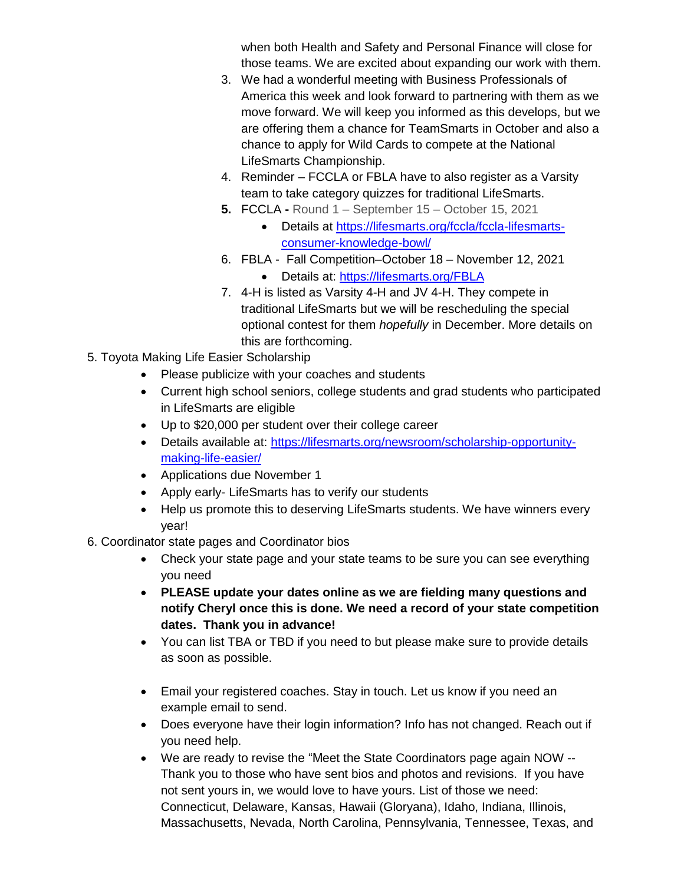when both Health and Safety and Personal Finance will close for those teams. We are excited about expanding our work with them.

- 3. We had a wonderful meeting with Business Professionals of America this week and look forward to partnering with them as we move forward. We will keep you informed as this develops, but we are offering them a chance for TeamSmarts in October and also a chance to apply for Wild Cards to compete at the National LifeSmarts Championship.
- 4. Reminder FCCLA or FBLA have to also register as a Varsity team to take category quizzes for traditional LifeSmarts.
- **5.** FCCLA **-** Round 1 September 15 October 15, 2021
	- Details at [https://lifesmarts.org/fccla/fccla-lifesmarts](https://lifesmarts.org/fccla/fccla-lifesmarts-consumer-knowledge-bowl/)[consumer-knowledge-bowl/](https://lifesmarts.org/fccla/fccla-lifesmarts-consumer-knowledge-bowl/)
- 6. FBLA Fall Competition–October 18 November 12, 2021
	- Details at:<https://lifesmarts.org/FBLA>
- 7. 4-H is listed as Varsity 4-H and JV 4-H. They compete in traditional LifeSmarts but we will be rescheduling the special optional contest for them *hopefully* in December. More details on this are forthcoming.
- 5. Toyota Making Life Easier Scholarship
	- Please publicize with your coaches and students
	- Current high school seniors, college students and grad students who participated in LifeSmarts are eligible
	- Up to \$20,000 per student over their college career
	- Details available at: [https://lifesmarts.org/newsroom/scholarship-opportunity](https://lifesmarts.org/newsroom/scholarship-opportunity-making-life-easier/)[making-life-easier/](https://lifesmarts.org/newsroom/scholarship-opportunity-making-life-easier/)
	- Applications due November 1
	- Apply early- LifeSmarts has to verify our students
	- Help us promote this to deserving LifeSmarts students. We have winners every year!
- 6. Coordinator state pages and Coordinator bios
	- Check your state page and your state teams to be sure you can see everything you need
	- **PLEASE update your dates online as we are fielding many questions and notify Cheryl once this is done. We need a record of your state competition dates. Thank you in advance!**
	- You can list TBA or TBD if you need to but please make sure to provide details as soon as possible.
	- Email your registered coaches. Stay in touch. Let us know if you need an example email to send.
	- Does everyone have their login information? Info has not changed. Reach out if you need help.
	- We are ready to revise the "Meet the State Coordinators page again NOW -- Thank you to those who have sent bios and photos and revisions. If you have not sent yours in, we would love to have yours. List of those we need: Connecticut, Delaware, Kansas, Hawaii (Gloryana), Idaho, Indiana, Illinois, Massachusetts, Nevada, North Carolina, Pennsylvania, Tennessee, Texas, and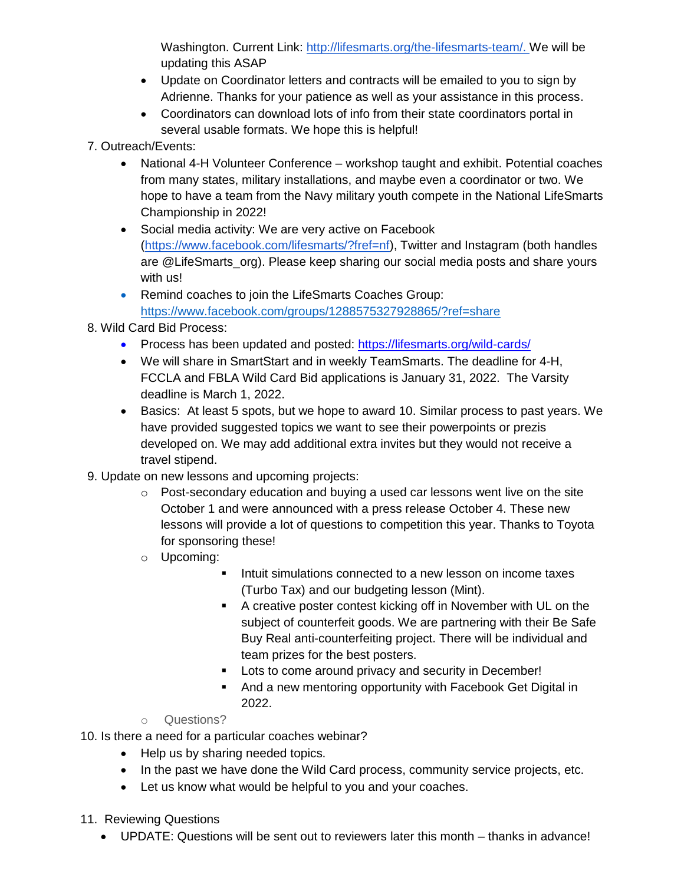Washington. Current Link: [http://lifesmarts.org/the-lifesmarts-team/.](http://lifesmarts.org/the-lifesmarts-team/) We will be updating this ASAP

- Update on Coordinator letters and contracts will be emailed to you to sign by Adrienne. Thanks for your patience as well as your assistance in this process.
- Coordinators can download lots of info from their state coordinators portal in several usable formats. We hope this is helpful!
- 7. Outreach/Events:
	- National 4-H Volunteer Conference workshop taught and exhibit. Potential coaches from many states, military installations, and maybe even a coordinator or two. We hope to have a team from the Navy military youth compete in the National LifeSmarts Championship in 2022!
	- Social media activity: We are very active on Facebook [\(https://www.facebook.com/lifesmarts/?fref=nf\)](https://www.facebook.com/lifesmarts/?fref=nf), Twitter and Instagram (both handles are @LifeSmarts org). Please keep sharing our social media posts and share yours with us!
	- Remind coaches to join the LifeSmarts Coaches Group: <https://www.facebook.com/groups/1288575327928865/?ref=share>
- 8. Wild Card Bid Process:
	- Process has been updated and posted:<https://lifesmarts.org/wild-cards/>
	- We will share in SmartStart and in weekly TeamSmarts. The deadline for 4-H, FCCLA and FBLA Wild Card Bid applications is January 31, 2022. The Varsity deadline is March 1, 2022.
	- Basics: At least 5 spots, but we hope to award 10. Similar process to past years. We have provided suggested topics we want to see their powerpoints or prezis developed on. We may add additional extra invites but they would not receive a travel stipend.
- 9. Update on new lessons and upcoming projects:
	- $\circ$  Post-secondary education and buying a used car lessons went live on the site October 1 and were announced with a press release October 4. These new lessons will provide a lot of questions to competition this year. Thanks to Toyota for sponsoring these!
	- o Upcoming:
		- Intuit simulations connected to a new lesson on income taxes (Turbo Tax) and our budgeting lesson (Mint).
		- A creative poster contest kicking off in November with UL on the subject of counterfeit goods. We are partnering with their Be Safe Buy Real anti-counterfeiting project. There will be individual and team prizes for the best posters.
		- **Lots to come around privacy and security in December!**
		- And a new mentoring opportunity with Facebook Get Digital in 2022.
	- o Questions?
- 10. Is there a need for a particular coaches webinar?
	- Help us by sharing needed topics.
	- In the past we have done the Wild Card process, community service projects, etc.
	- Let us know what would be helpful to you and your coaches.
- 11. Reviewing Questions
	- UPDATE: Questions will be sent out to reviewers later this month thanks in advance!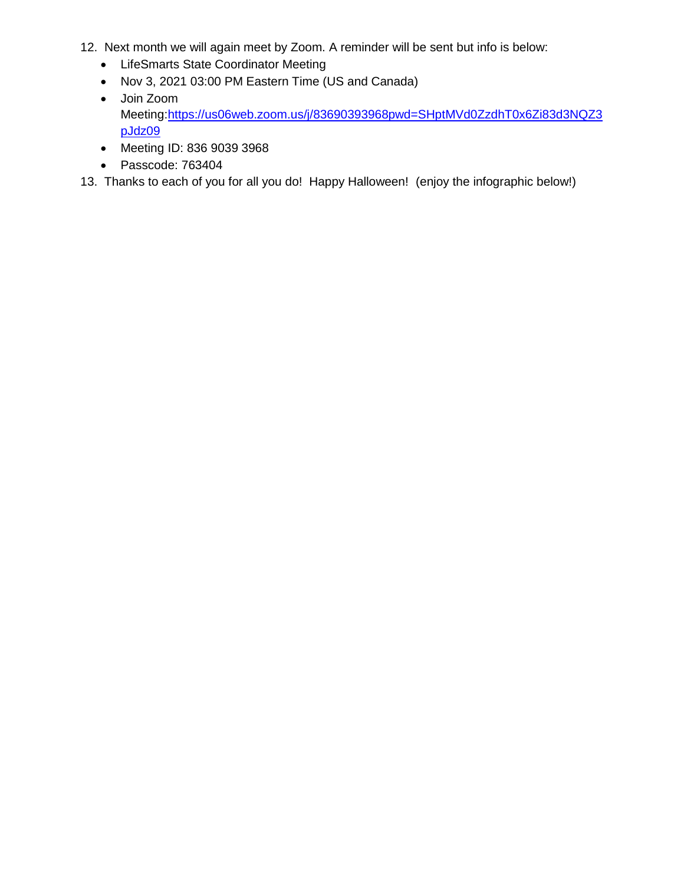- 12. Next month we will again meet by Zoom. A reminder will be sent but info is below:
	- LifeSmarts State Coordinator Meeting
	- Nov 3, 2021 03:00 PM Eastern Time (US and Canada)
	- Join Zoom Meeting[:https://us06web.zoom.us/j/83690393968pwd=SHptMVd0ZzdhT0x6Zi83d3NQZ3](https://us06web.zoom.us/j/83690393968?pwd=SHptMVd0ZzdhT0x6Zi83d3NQZ3pJdz09) [pJdz09](https://us06web.zoom.us/j/83690393968?pwd=SHptMVd0ZzdhT0x6Zi83d3NQZ3pJdz09)
	- Meeting ID: 836 9039 3968
	- Passcode: 763404

13. Thanks to each of you for all you do! Happy Halloween! (enjoy the infographic below!)